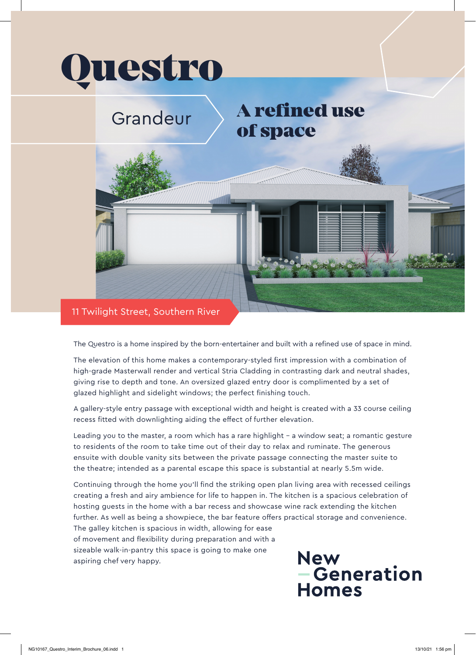

The Questro is a home inspired by the born-entertainer and built with a refined use of space in mind.

The elevation of this home makes a contemporary-styled first impression with a combination of high-grade Masterwall render and vertical Stria Cladding in contrasting dark and neutral shades, giving rise to depth and tone. An oversized glazed entry door is complimented by a set of glazed highlight and sidelight windows; the perfect finishing touch.

A gallery-style entry passage with exceptional width and height is created with a 33 course ceiling recess fitted with downlighting aiding the effect of further elevation.

Leading you to the master, a room which has a rare highlight – a window seat; a romantic gesture to residents of the room to take time out of their day to relax and ruminate. The generous ensuite with double vanity sits between the private passage connecting the master suite to the theatre; intended as a parental escape this space is substantial at nearly 5.5m wide.

Continuing through the home you'll find the striking open plan living area with recessed ceilings creating a fresh and airy ambience for life to happen in. The kitchen is a spacious celebration of hosting guests in the home with a bar recess and showcase wine rack extending the kitchen further. As well as being a showpiece, the bar feature offers practical storage and convenience. The galley kitchen is spacious in width, allowing for ease of movement and flexibility during preparation and with a sizeable walk-in-pantry this space is going to make one

aspiring chef very happy.

**New<br>- Generation Homes**